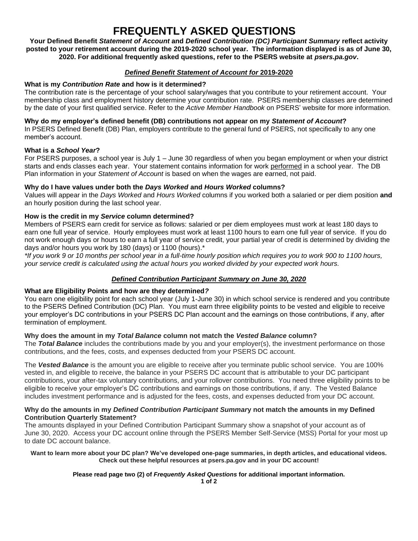# **FREQUENTLY ASKED QUESTIONS**

**Your Defined Benefit** *Statement of Account* **and** *Defined Contribution (DC) Participant Summary* **reflect activity posted to your retirement account during the 2019-2020 school year. The information displayed is as of June 30, 2020. For additional frequently asked questions, refer to the PSERS website at** *psers.pa.gov***.**

#### *Defined Benefit Statement of Account for* **2019-2020**

## **What is my** *Contribution Rate* **and how is it determined?**

The contribution rate is the percentage of your school salary/wages that you contribute to your retirement account. Your membership class and employment history determine your contribution rate. PSERS membership classes are determined by the date of your first qualified service. Refer to the *Active Member Handbook* on PSERS' website for more information.

## **Why do my employer's defined benefit (DB) contributions not appear on my** *Statement of Account***?**

In PSERS Defined Benefit (DB) Plan, employers contribute to the general fund of PSERS, not specifically to any one member's account.

## **What is a** *School Year***?**

For PSERS purposes, a school year is July 1 – June 30 regardless of when you began employment or when your district starts and ends classes each year. Your statement contains information for work performed in a school year. The DB Plan information in your *Statement of Account* is based on when the wages are earned, not paid.

## **Why do I have values under both the** *Days Worked* **and** *Hours Worked* **columns?**

Values will appear in the *Days Worked* and *Hours Worked* columns if you worked both a salaried or per diem position **and** an hourly position during the last school year.

# **How is the credit in my** *Service* **column determined?**

Members of PSERS earn credit for service as follows: salaried or per diem employees must work at least 180 days to earn one full year of service. Hourly employees must work at least 1100 hours to earn one full year of service. If you do not work enough days or hours to earn a full year of service credit, your partial year of credit is determined by dividing the days and/or hours you work by 180 (days) or 1100 (hours).\*

*\*If you work 9 or 10 months per school year in a full-time hourly position which requires you to work 900 to 1100 hours, your service credit is calculated using the actual hours you worked divided by your expected work hours.*

# *Defined Contribution Participant Summary on June 30, 2020*

# **What are Eligibility Points and how are they determined***?*

You earn one eligibility point for each school year (July 1-June 30) in which school service is rendered and you contribute to the PSERS Defined Contribution (DC) Plan. You must earn three eligibility points to be vested and eligible to receive your employer's DC contributions in your PSERS DC Plan account and the earnings on those contributions, if any, after termination of employment.

# **Why does the amount in my** *Total Balance* **column not match the** *Vested Balance* **column?**

The *Total Balance* includes the contributions made by you and your employer(s), the investment performance on those contributions, and the fees, costs, and expenses deducted from your PSERS DC account.

The *Vested Balance* is the amount you are eligible to receive after you terminate public school service. You are 100% vested in, and eligible to receive, the balance in your PSERS DC account that is attributable to your DC participant contributions, your after-tax voluntary contributions, and your rollover contributions. You need three eligibility points to be eligible to receive your employer's DC contributions and earnings on those contributions, if any. The Vested Balance includes investment performance and is adjusted for the fees, costs, and expenses deducted from your DC account.

#### **Why do the amounts in my** *Defined Contribution Participant Summar***y not match the amounts in my Defined Contribution Quarterly Statement?**

The amounts displayed in your Defined Contribution Participant Summary show a snapshot of your account as of June 30, 2020. Access your DC account online through the PSERS Member Self-Service (MSS) Portal for your most up to date DC account balance.

#### **Want to learn more about your DC plan? We've developed one-page summaries, in depth articles, and educational videos. Check out these helpful resources at psers.pa.gov and in your DC account!**

# **Please read page two (2) of** *Frequently Asked Questions* **for additional important information.**